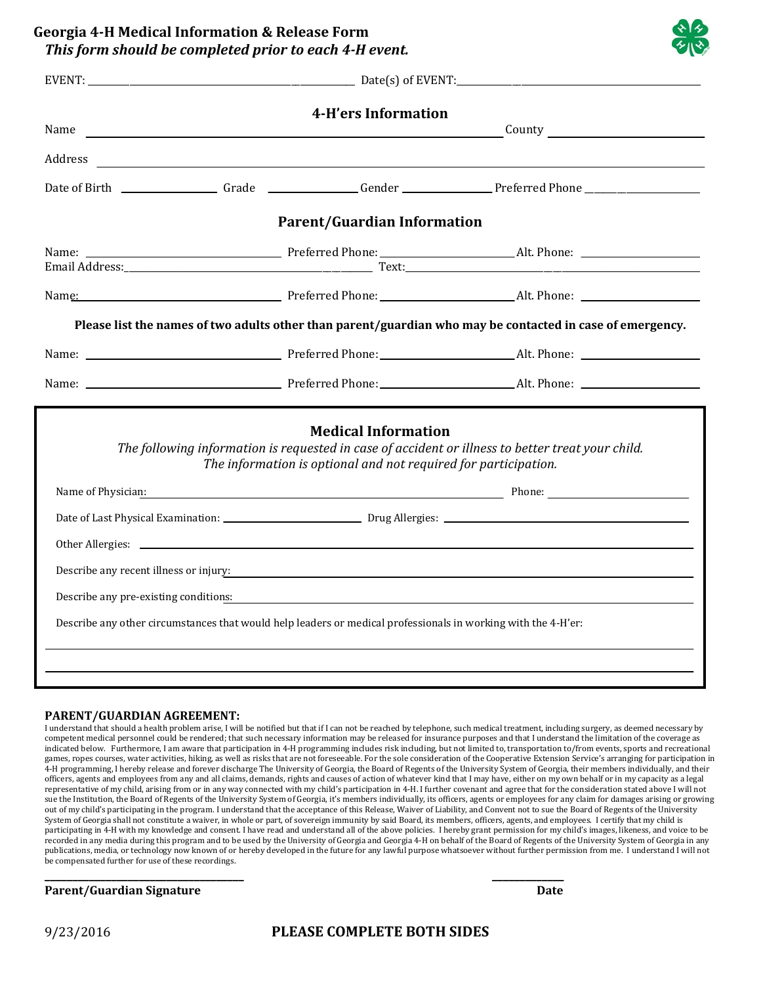**Georgia 4‐H Medical Information & Release Form** *This form should be completed prior to each 4‐H event.*

| Name |  | 4-H'ers Information<br><u> 1989 - Johann Harry Harry Harry Harry Harry Harry Harry Harry Harry Harry Harry Harry Harry Harry Harry Harry</u>                                                                   |                                                                                                                                                                                                                                                                                                                                                                                                                        |
|------|--|----------------------------------------------------------------------------------------------------------------------------------------------------------------------------------------------------------------|------------------------------------------------------------------------------------------------------------------------------------------------------------------------------------------------------------------------------------------------------------------------------------------------------------------------------------------------------------------------------------------------------------------------|
|      |  |                                                                                                                                                                                                                | Address and the contract of the contract of the contract of the contract of the contract of the contract of the contract of the contract of the contract of the contract of the contract of the contract of the contract of th                                                                                                                                                                                         |
|      |  |                                                                                                                                                                                                                | Date of Birth _________________Grade ______________Gender _______________Preferred Phone _____________________                                                                                                                                                                                                                                                                                                         |
|      |  | <b>Parent/Guardian Information</b>                                                                                                                                                                             |                                                                                                                                                                                                                                                                                                                                                                                                                        |
|      |  |                                                                                                                                                                                                                |                                                                                                                                                                                                                                                                                                                                                                                                                        |
|      |  |                                                                                                                                                                                                                | Name: Name: Name: Name: Name: Name: Name: Name: Name: Name: Name: Name: Name: Name: Name: Name: Name: Name: Name: Name: Name: Name: Name: Name: Name: Name: Name: Name: Name: Name: Name: Name: Name: Name: Name: Name: Name:                                                                                                                                                                                          |
|      |  |                                                                                                                                                                                                                | Please list the names of two adults other than parent/guardian who may be contacted in case of emergency.                                                                                                                                                                                                                                                                                                              |
|      |  |                                                                                                                                                                                                                |                                                                                                                                                                                                                                                                                                                                                                                                                        |
|      |  |                                                                                                                                                                                                                |                                                                                                                                                                                                                                                                                                                                                                                                                        |
|      |  | <b>Medical Information</b><br>The information is optional and not required for participation.<br>Describe any other circumstances that would help leaders or medical professionals in working with the 4-H'er: | The following information is requested in case of accident or illness to better treat your child.<br>Name of Physician: Name of Physician: Name of Physician: Name of Physician: Name of Physician: Name of Physician: Name of Physician: Name of Physician: Name of Physician: Name of Physician: Name of Physician: Name of Physi<br>Describe any recent illness or injury:<br>Describe any pre-existing conditions: |
|      |  |                                                                                                                                                                                                                |                                                                                                                                                                                                                                                                                                                                                                                                                        |

## **PARENT/GUARDIAN AGREEMENT:**

I understand that should a health problem arise, I will be notified but that if I can not be reached by telephone, such medical treatment, including surgery, as deemed necessary by competent medical personnel could be rendered; that such necessary information may be released for insurance purposes and that I understand the limitation of the coverage as indicated below. Furthermore, I am aware that participation in 4-H programming includes risk including, but not limited to, transportation to/from events, sports and recreational games, ropes courses, water activities, hiking, as well as risks that are not foreseeable. For the sole consideration of the Cooperative Extension Service's arranging for participation in 4-H programming, I hereby release and forever discharge The University of Georgia, the Board of Regents of the University System of Georgia, their members individually, and their officers, agents and employees from any and all claims, demands, rights and causes of action of whatever kind that I may have, either on my own behalf or in my capacity as a legal representative of my child, arising from or in any way connected with my child's participation in 4-H. I further covenant and agree that for the consideration stated above I will not sue the Institution, the Board of Regents of the University System of Georgia, it's members individually, its officers, agents or employees for any claim for damages arising or growing out of my child's participating in the program. I understand that the acceptance of this Release, Waiver of Liability, and Convent not to sue the Board of Regents of the University System of Georgia shall not constitute a waiver, in whole or part, of sovereign immunity by said Board, its members, officers, agents, and employees. I certify that my child is participating in 4-H with my knowledge and consent. I have read and understand all of the above policies. I hereby grant permission for my child's images, likeness, and voice to be recorded in any media during this program and to be used by the University of Georgia and Georgia 4-H on behalf of the Board of Regents of the University System of Georgia in any publications, media, or technology now known of or hereby developed in the future for any lawful purpose whatsoever without further permission from me. I understand I will not be compensated further for use of these recordings.

## **\_\_\_\_\_\_\_\_\_\_\_\_\_\_\_\_\_\_\_\_\_\_\_\_\_\_\_\_\_\_\_\_\_\_\_\_ \_\_\_\_\_\_\_\_\_\_\_\_\_ Parent/Guardian Signature Date**

## 9/23/2016 **PLEASE COMPLETE BOTH SIDES**